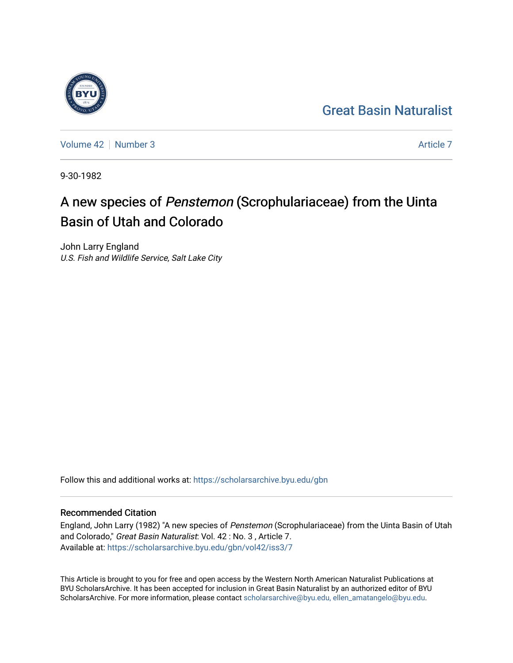## [Great Basin Naturalist](https://scholarsarchive.byu.edu/gbn)



[Volume 42](https://scholarsarchive.byu.edu/gbn/vol42) [Number 3](https://scholarsarchive.byu.edu/gbn/vol42/iss3) [Article 7](https://scholarsarchive.byu.edu/gbn/vol42/iss3/7) Article 7 Article 7 Article 7 Article 7 Article 7 Article 7

9-30-1982

# A new species of Penstemon (Scrophulariaceae) from the Uinta Basin of Utah and Colorado

John Larry England U.S. Fish and Wildlife Service, Salt Lake City

Follow this and additional works at: [https://scholarsarchive.byu.edu/gbn](https://scholarsarchive.byu.edu/gbn?utm_source=scholarsarchive.byu.edu%2Fgbn%2Fvol42%2Fiss3%2F7&utm_medium=PDF&utm_campaign=PDFCoverPages) 

### Recommended Citation

England, John Larry (1982) "A new species of Penstemon (Scrophulariaceae) from the Uinta Basin of Utah and Colorado," Great Basin Naturalist: Vol. 42 : No. 3, Article 7. Available at: [https://scholarsarchive.byu.edu/gbn/vol42/iss3/7](https://scholarsarchive.byu.edu/gbn/vol42/iss3/7?utm_source=scholarsarchive.byu.edu%2Fgbn%2Fvol42%2Fiss3%2F7&utm_medium=PDF&utm_campaign=PDFCoverPages)

This Article is brought to you for free and open access by the Western North American Naturalist Publications at BYU ScholarsArchive. It has been accepted for inclusion in Great Basin Naturalist by an authorized editor of BYU ScholarsArchive. For more information, please contact [scholarsarchive@byu.edu, ellen\\_amatangelo@byu.edu.](mailto:scholarsarchive@byu.edu,%20ellen_amatangelo@byu.edu)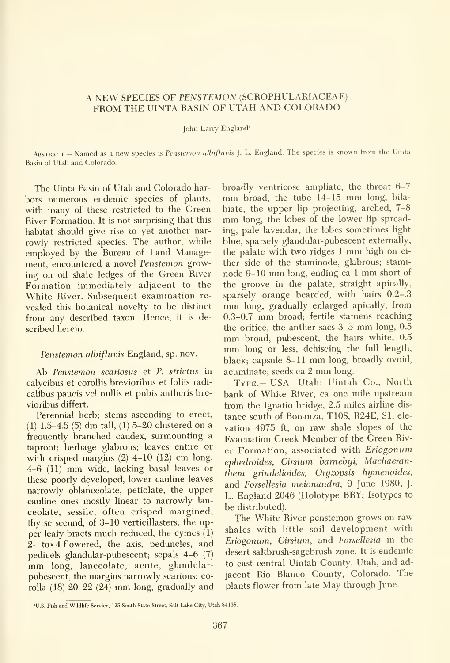#### A NEW SPECIES OF PENSTEMON (SCROPHULARIACEAE) FROM THE UINTA BASIN OF UTAH AND COLORADO

John Larry England'

ABSTRACT.- Named as a new species is Penstemon albifluvis ]. L. England. The species is known from the Uinta Basin of Utah and Colorado.

The Uinta Basin of Utah and Colorado har bors numerous endemic species of plants, with many of these restricted to the Green River Formation. It is not surprising that this habitat should give rise to yet another nar rowly restricted species. The author, while employed by the Bureau of Land Management, encountered a novel Penstemon growing on oil shale ledges of the Green River Formation immediately adjacent to the the groove in the palate, straight apically,<br>White River, Subsequent examination re- sparsely orange bearded, with hairs 0.2–.3 White River. Subsequent examination re vealed this botanical novelty to be distinct from any described taxon. Hence, it is described herein.

#### Penstemon albifluvis England, sp. nov.

Ab Penstemon scariosus et P. strictus in calycibus et corollis brevioribus et foliis radi calibus paucis vel nullis et pubis antheris brevioribus differt.

Perennial herb; stems ascending to erect, (1) 1.5-4.5 (5) dm tall, (1) 5-20 clustered on <sup>a</sup> frequently branched caudex, surmounting a taproot; herbage glabrous; leaves entire or with crisped margins  $(2)$  4-10  $(12)$  cm long, 4-6 (11) mm wide, lacking basal leaves or these poorly developed, lower cauline leaves narrowly oblanceolate, petiolate, the upper cauline ones mostly linear to narrowly lan ceolate, sessile, often crisped margined; thyrse secund, of 3-10 verticillasters, the upper leafy bracts much reduced, the cymes (1) 2- to> 4-flowered, the axis, peduncles, and pedicels glandular-pubescent; sepals 4-6 (7) mm long, lanceolate, acute, glandularpubescent, the margins narrowly scarious; corolla (18) 20-22 (24) mm long, gradually and

broadly ventricose ampliate, the throat 6-7 mm broad, the tube 14-15 mm long, bilabiate, the upper lip projecting, arched, 7-8 mm long, the lobes of the lower lip spreading, pale lavendar, the lobes sometimes light blue, sparsely glandular-pubescent externally, the palate with two ridges <sup>1</sup> mm high on ei ther side of the staminode, glabrous; staminode 9-10 mm long, ending ca <sup>1</sup> mm short of the groove in the palate, straight apically, mm long, gradually enlarged apically, from 0.3-0.7 mm broad; fertile stamens reaching the orifice, the anther sacs 3-5 mm long, 0.5 mm broad, pubescent, the hairs white, 0.5 mm long or less, dehiscing the full length, black; capsule 8-11 mm long, broadly ovoid, acuminate; seeds ca <sup>2</sup> mm long.

TYPE.- USA. Utah: Uintah Co., North bank of White River, ca one mile upstream from the Ignatio bridge, 2.5 miles airline dis tance south of Bonanza, TIOS, R24E, SI, ele vation 4975 ft, on raw shale slopes of the Evacuation Creek Member of the Green River Formation, associated with Eriogonum ephedroides, Cirsium barnebyi, Machaeranthera grindelioides, Oryzopsis hymenoides, and Forsellesia meionandra, 9 June 1980, J. L. England 2046 (Holotype BRY; Isotypes to be distributed).

The White River penstemon grows on raw shales with little soil development with Eriogonum, Cirsium, and Forsellesia in the desert saltbrush-sagebrush zone. It is endemic to east central Uintah County, Utah, and ad jacent Rio Blanco County, Colorado. The plants flower from late May through June.

<sup>&#</sup>x27;U.S. Fish and Wildlife Service. 125 South State Street, Salt Lake City, Utah 84138.